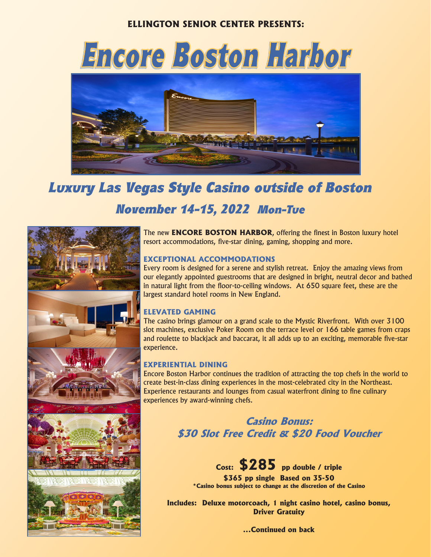## **ELLINGTON SENIOR CENTER PRESENTS:**



# *Luxury Las Vegas Style Casino outside of Boston November 14-15, 2022 Mon-Tue*



The new **ENCORE BOSTON HARBOR**, offering the finest in Boston luxury hotel resort accommodations, five-star dining, gaming, shopping and more.

### **EXCEPTIONAL ACCOMMODATIONS**

Every room is designed for a serene and stylish retreat. Enjoy the amazing views from our elegantly appointed guestrooms that are designed in bright, neutral décor and bathed in natural light from the floor-to-ceiling windows. At 650 square feet, these are the largest standard hotel rooms in New England.

### **ELEVATED GAMING**

The casino brings glamour on a grand scale to the Mystic Riverfront. With over 3100 slot machines, exclusive Poker Room on the terrace level or 166 table games from craps and roulette to blackjack and baccarat, it all adds up to an exciting, memorable five-star experience.

### **EXPERIENTIAL DINING**

Encore Boston Harbor continues the tradition of attracting the top chefs in the world to create best-in-class dining experiences in the most-celebrated city in the Northeast. Experience restaurants and lounges from casual waterfront dining to fine culinary experiences by award-winning chefs.

> **Casino Bonus: \$30 Slot Free Credit & \$20 Food Voucher**

**Cost: \$285 pp double / triple \$365 pp single Based on 35-50 \*Casino bonus subject to change at the discretion of the Casino**

**Includes: Deluxe motorcoach, 1 night casino hotel, casino bonus, Driver Gratuity**

**...Continued on back**